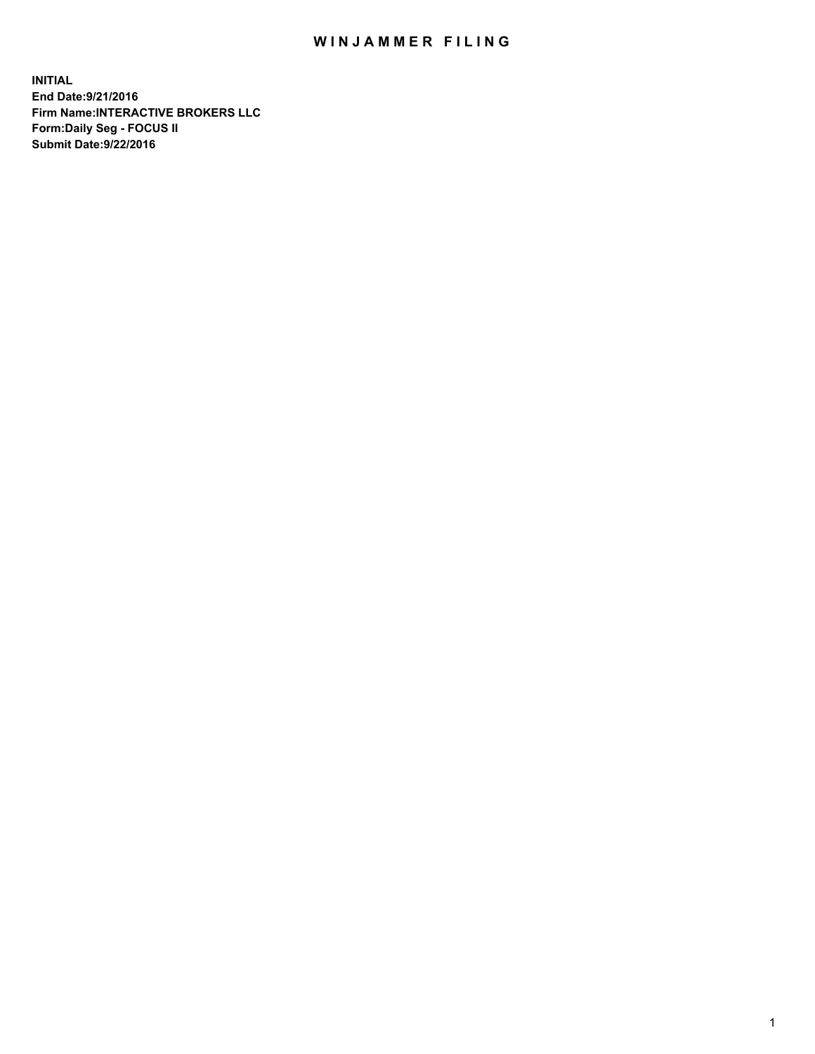## WIN JAMMER FILING

**INITIAL End Date:9/21/2016 Firm Name:INTERACTIVE BROKERS LLC Form:Daily Seg - FOCUS II Submit Date:9/22/2016**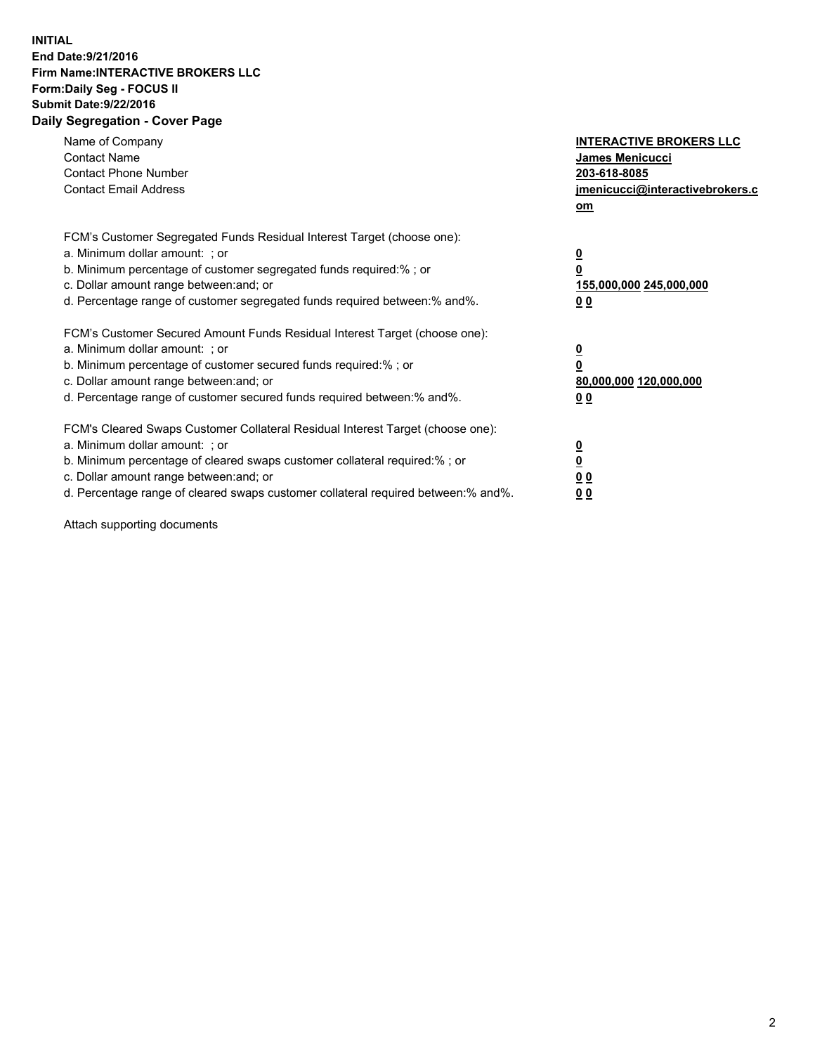## **INITIAL End Date:9/21/2016 Firm Name:INTERACTIVE BROKERS LLC Form:Daily Seg - FOCUS II Submit Date:9/22/2016 Daily Segregation - Cover Page**

| Name of Company<br><b>Contact Name</b><br><b>Contact Phone Number</b><br><b>Contact Email Address</b>                                                                                                                                                                                                                          | <b>INTERACTIVE BROKERS LLC</b><br><b>James Menicucci</b><br>203-618-8085<br>jmenicucci@interactivebrokers.c<br>om |
|--------------------------------------------------------------------------------------------------------------------------------------------------------------------------------------------------------------------------------------------------------------------------------------------------------------------------------|-------------------------------------------------------------------------------------------------------------------|
| FCM's Customer Segregated Funds Residual Interest Target (choose one):<br>a. Minimum dollar amount: ; or<br>b. Minimum percentage of customer segregated funds required:%; or<br>c. Dollar amount range between: and; or<br>d. Percentage range of customer segregated funds required between:% and%.                          | $\overline{\mathbf{0}}$<br>0<br>155,000,000 245,000,000<br>0 <sub>0</sub>                                         |
| FCM's Customer Secured Amount Funds Residual Interest Target (choose one):<br>a. Minimum dollar amount: ; or<br>b. Minimum percentage of customer secured funds required:%; or<br>c. Dollar amount range between: and; or<br>d. Percentage range of customer secured funds required between: % and %.                          | $\overline{\mathbf{0}}$<br>0<br>80,000,000 120,000,000<br>00                                                      |
| FCM's Cleared Swaps Customer Collateral Residual Interest Target (choose one):<br>a. Minimum dollar amount: ; or<br>b. Minimum percentage of cleared swaps customer collateral required:% ; or<br>c. Dollar amount range between: and; or<br>d. Percentage range of cleared swaps customer collateral required between:% and%. | $\overline{\mathbf{0}}$<br>$\overline{\mathbf{0}}$<br>0 <sub>0</sub><br><u>00</u>                                 |

Attach supporting documents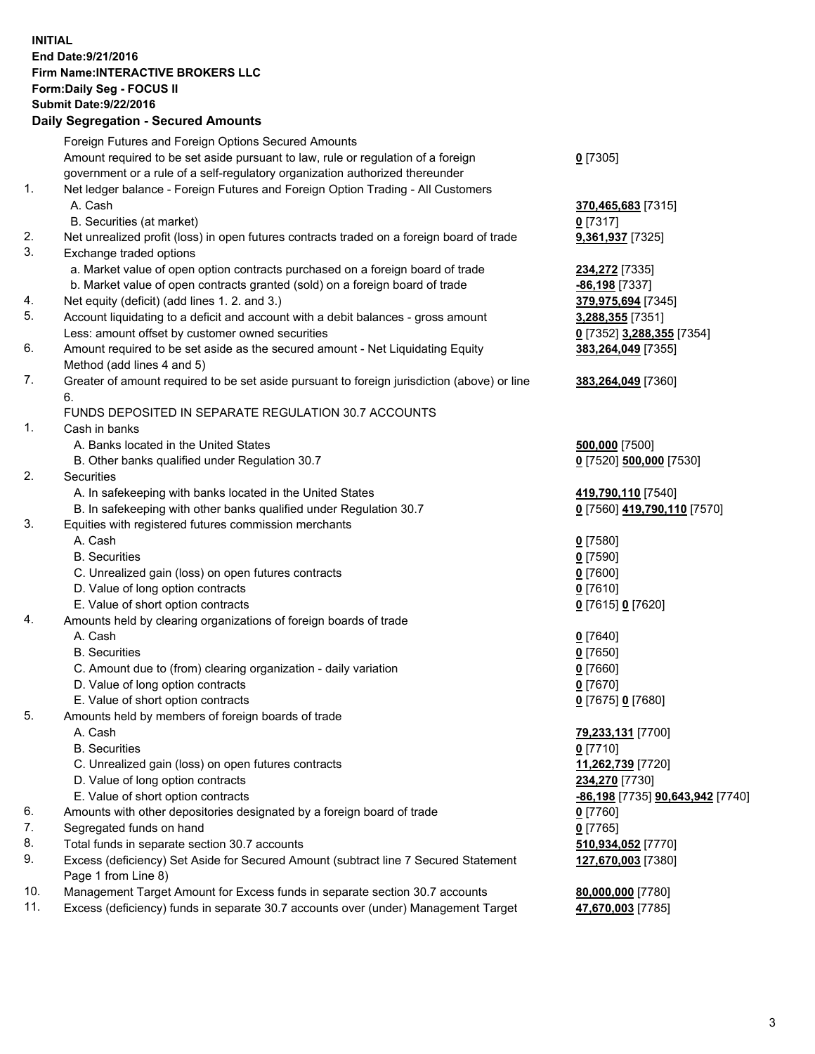## **INITIAL End Date:9/21/2016 Firm Name:INTERACTIVE BROKERS LLC Form:Daily Seg - FOCUS II Submit Date:9/22/2016 Daily Segregation - Secured Amounts**

|     | Foreign Futures and Foreign Options Secured Amounts                                         |                                  |
|-----|---------------------------------------------------------------------------------------------|----------------------------------|
|     | Amount required to be set aside pursuant to law, rule or regulation of a foreign            | $0$ [7305]                       |
|     | government or a rule of a self-regulatory organization authorized thereunder                |                                  |
| 1.  | Net ledger balance - Foreign Futures and Foreign Option Trading - All Customers             |                                  |
|     | A. Cash                                                                                     | 370,465,683 [7315]               |
|     | B. Securities (at market)                                                                   | $0$ [7317]                       |
| 2.  | Net unrealized profit (loss) in open futures contracts traded on a foreign board of trade   | 9,361,937 [7325]                 |
| 3.  | Exchange traded options                                                                     |                                  |
|     | a. Market value of open option contracts purchased on a foreign board of trade              | 234,272 [7335]                   |
|     | b. Market value of open contracts granted (sold) on a foreign board of trade                | -86,198 [7337]                   |
| 4.  | Net equity (deficit) (add lines 1.2. and 3.)                                                | 379,975,694 [7345]               |
| 5.  | Account liquidating to a deficit and account with a debit balances - gross amount           | 3,288,355 [7351]                 |
|     | Less: amount offset by customer owned securities                                            | 0 [7352] 3,288,355 [7354]        |
| 6.  | Amount required to be set aside as the secured amount - Net Liquidating Equity              | 383,264,049 [7355]               |
|     | Method (add lines 4 and 5)                                                                  |                                  |
| 7.  | Greater of amount required to be set aside pursuant to foreign jurisdiction (above) or line |                                  |
|     |                                                                                             | 383,264,049 [7360]               |
|     | 6.                                                                                          |                                  |
|     | FUNDS DEPOSITED IN SEPARATE REGULATION 30.7 ACCOUNTS                                        |                                  |
| 1.  | Cash in banks                                                                               |                                  |
|     | A. Banks located in the United States                                                       | 500,000 [7500]                   |
|     | B. Other banks qualified under Regulation 30.7                                              | 0 [7520] 500,000 [7530]          |
| 2.  | Securities                                                                                  |                                  |
|     | A. In safekeeping with banks located in the United States                                   | 419,790,110 [7540]               |
|     | B. In safekeeping with other banks qualified under Regulation 30.7                          | 0 [7560] 419,790,110 [7570]      |
| 3.  | Equities with registered futures commission merchants                                       |                                  |
|     | A. Cash                                                                                     | $0$ [7580]                       |
|     | <b>B.</b> Securities                                                                        | $0$ [7590]                       |
|     | C. Unrealized gain (loss) on open futures contracts                                         | $0$ [7600]                       |
|     | D. Value of long option contracts                                                           | $0$ [7610]                       |
|     | E. Value of short option contracts                                                          | 0 [7615] 0 [7620]                |
| 4.  | Amounts held by clearing organizations of foreign boards of trade                           |                                  |
|     | A. Cash                                                                                     | $Q$ [7640]                       |
|     | <b>B.</b> Securities                                                                        | $0$ [7650]                       |
|     | C. Amount due to (from) clearing organization - daily variation                             | $0$ [7660]                       |
|     | D. Value of long option contracts                                                           | $0$ [7670]                       |
|     | E. Value of short option contracts                                                          | 0 [7675] 0 [7680]                |
| 5.  | Amounts held by members of foreign boards of trade                                          |                                  |
|     | A. Cash                                                                                     | 79,233,131 [7700]                |
|     | <b>B.</b> Securities                                                                        | $0$ [7710]                       |
|     | C. Unrealized gain (loss) on open futures contracts                                         | 11,262,739 [7720]                |
|     | D. Value of long option contracts                                                           | 234,270 [7730]                   |
|     | E. Value of short option contracts                                                          | -86,198 [7735] 90,643,942 [7740] |
| 6.  | Amounts with other depositories designated by a foreign board of trade                      | $0$ [7760]                       |
| 7.  | Segregated funds on hand                                                                    | $0$ [7765]                       |
| 8.  | Total funds in separate section 30.7 accounts                                               | 510,934,052 [7770]               |
| 9.  | Excess (deficiency) Set Aside for Secured Amount (subtract line 7 Secured Statement         | 127,670,003 [7380]               |
|     | Page 1 from Line 8)                                                                         |                                  |
| 10. | Management Target Amount for Excess funds in separate section 30.7 accounts                 | 80,000,000 [7780]                |
| 11. | Excess (deficiency) funds in separate 30.7 accounts over (under) Management Target          | 47,670,003 [7785]                |
|     |                                                                                             |                                  |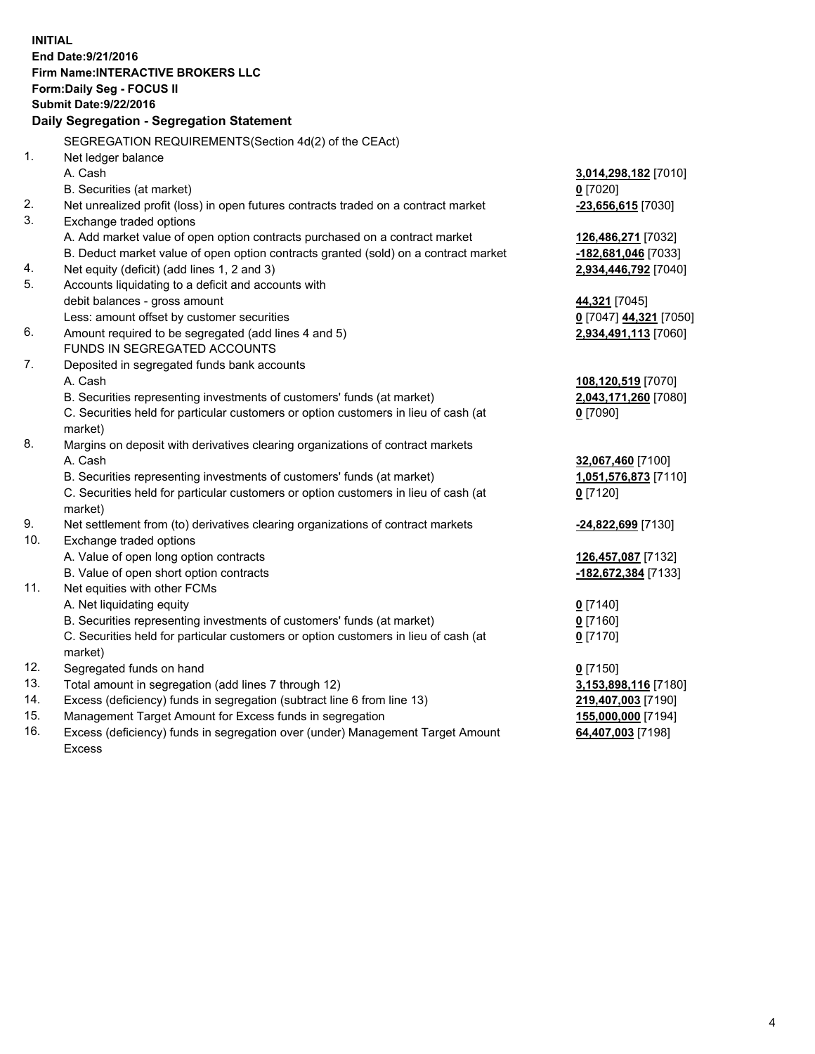**INITIAL End Date:9/21/2016 Firm Name:INTERACTIVE BROKERS LLC Form:Daily Seg - FOCUS II Submit Date:9/22/2016 Daily Segregation - Segregation Statement** SEGREGATION REQUIREMENTS(Section 4d(2) of the CEAct) 1. Net ledger balance A. Cash **3,014,298,182** [7010] B. Securities (at market) **0** [7020] 2. Net unrealized profit (loss) in open futures contracts traded on a contract market **-23,656,615** [7030] 3. Exchange traded options A. Add market value of open option contracts purchased on a contract market **126,486,271** [7032] B. Deduct market value of open option contracts granted (sold) on a contract market **-182,681,046** [7033] 4. Net equity (deficit) (add lines 1, 2 and 3) **2,934,446,792** [7040] 5. Accounts liquidating to a deficit and accounts with debit balances - gross amount **44,321** [7045] Less: amount offset by customer securities **0** [7047] **44,321** [7050] 6. Amount required to be segregated (add lines 4 and 5) **2,934,491,113** [7060] FUNDS IN SEGREGATED ACCOUNTS 7. Deposited in segregated funds bank accounts A. Cash **108,120,519** [7070] B. Securities representing investments of customers' funds (at market) **2,043,171,260** [7080] C. Securities held for particular customers or option customers in lieu of cash (at market) **0** [7090] 8. Margins on deposit with derivatives clearing organizations of contract markets A. Cash **32,067,460** [7100] B. Securities representing investments of customers' funds (at market) **1,051,576,873** [7110] C. Securities held for particular customers or option customers in lieu of cash (at market) **0** [7120] 9. Net settlement from (to) derivatives clearing organizations of contract markets **-24,822,699** [7130] 10. Exchange traded options A. Value of open long option contracts **126,457,087** [7132] B. Value of open short option contracts **-182,672,384** [7133] 11. Net equities with other FCMs A. Net liquidating equity **0** [7140] B. Securities representing investments of customers' funds (at market) **0** [7160] C. Securities held for particular customers or option customers in lieu of cash (at market) **0** [7170] 12. Segregated funds on hand **0** [7150] 13. Total amount in segregation (add lines 7 through 12) **3,153,898,116** [7180] 14. Excess (deficiency) funds in segregation (subtract line 6 from line 13) **219,407,003** [7190] 15. Management Target Amount for Excess funds in segregation **155,000,000** [7194] **64,407,003** [7198]

16. Excess (deficiency) funds in segregation over (under) Management Target Amount Excess